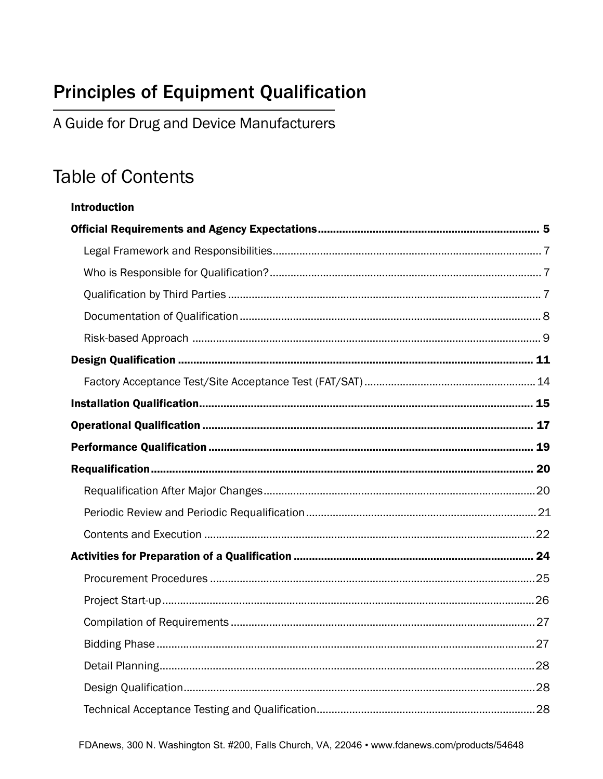## **Principles of Equipment Qualification**

A Guide for Drug and Device Manufacturers

## **Table of Contents**

**Introduction**